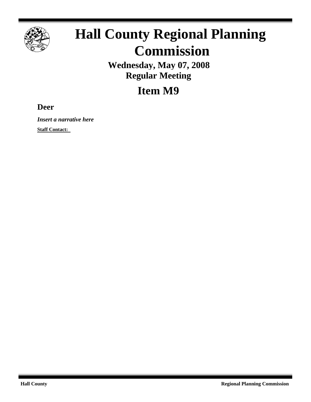

# **Hall County Regional Planning Commission**

**Wednesday, May 07, 2008 Regular Meeting**

**Item M9**

**Deer**

*Insert a narrative here*

**Staff Contact:**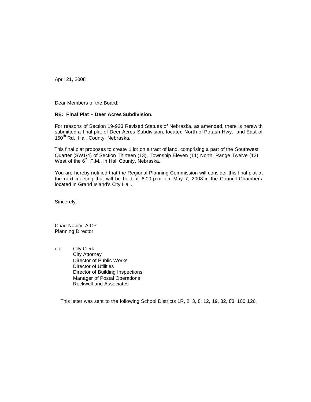April 21, 2008

Dear Members of the Board:

## **RE: Final Plat – Deer Acres Subdivision.**

For reasons of Section 19-923 Revised Statues of Nebraska, as amended, there is herewith submitted a final plat of Deer Acres Subdivision, located North of Potash Hwy., and East of 150<sup>th</sup> Rd., Hall County, Nebraska.

 This final plat proposes to create 1 lot on a tract of land, comprising a part of the Southwest Quarter (SW1/4) of Section Thirteen (13), Township Eleven (11) North, Range Twelve (12) West of the  $6^{th}$  P.M., in Hall County, Nebraska.

You are hereby notified that the Regional Planning Commission will consider this final plat at the next meeting that will be held at 6:00 p.m. on May 7, 2008 in the Council Chambers located in Grand Island's City Hall.

Sincerely,

Chad Nabity, AICP Planning Director

cc: City Clerk City Attorney Director of Public Works Director of Utilities Director of Building Inspections Manager of Postal Operations Rockwell and Associates

This letter was sent to the following School Districts 1R, 2, 3, 8, 12, 19, 82, 83, 100,126.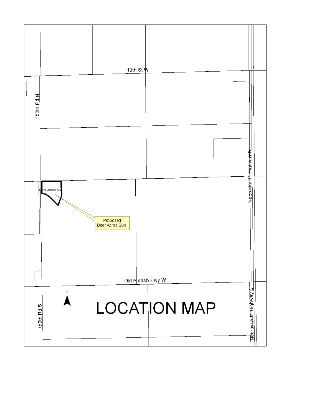